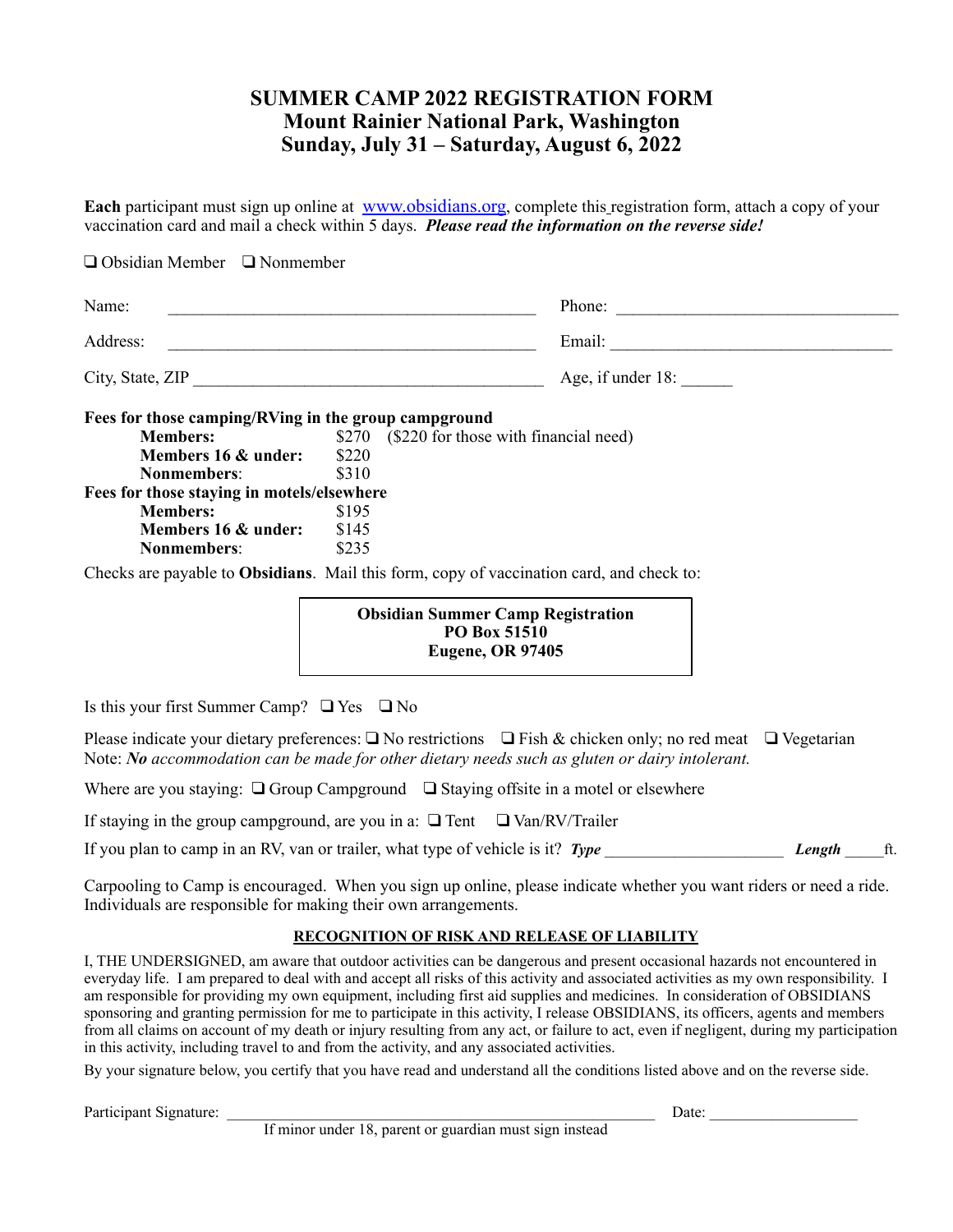# **SUMMER CAMP 2022 REGISTRATION FORM Mount Rainier National Park, Washington Sunday, July 31 – Saturday, August 6, 2022**

**Each** participant must sign up online at [www.obsidians.org](http://www.obsidians.org), complete this registration form, attach a copy of your vaccination card and mail a check within 5 days. *Please read the information on the reverse side!* 

| Name:                                                            |                |  | Phone:                                      |  |
|------------------------------------------------------------------|----------------|--|---------------------------------------------|--|
| Address:<br><u> 1989 - Johann Stein, Amerikaansk politiker (</u> |                |  |                                             |  |
| City, State, ZIP                                                 |                |  | Age, if under 18:                           |  |
| Fees for those camping/RVing in the group campground             |                |  |                                             |  |
| <b>Members:</b>                                                  |                |  | \$270 (\$220 for those with financial need) |  |
| Members 16 & under:                                              | \$220          |  |                                             |  |
| Nonmembers:                                                      | \$310          |  |                                             |  |
| Fees for those staying in motels/elsewhere                       |                |  |                                             |  |
|                                                                  | \$195          |  |                                             |  |
|                                                                  |                |  |                                             |  |
| <b>Members:</b>                                                  |                |  |                                             |  |
| Members 16 & under:<br><b>Nonmembers:</b>                        | \$145<br>\$235 |  |                                             |  |

**PO Box 51510 Eugene, OR 97405**

Is this your first Summer Camp?  $\Box$  Yes  $\Box$  No

Please indicate your dietary preferences:  $\Box$  No restrictions  $\Box$  Fish & chicken only; no red meat  $\Box$  Vegetarian Note: *No accommodation can be made for other dietary needs such as gluten or dairy intolerant.* 

Where are you staying:  $\Box$  Group Campground  $\Box$  Staying offsite in a motel or elsewhere

If staying in the group campground, are you in a:  $\Box$  Tent  $\Box$  Van/RV/Trailer

If you plan to camp in an RV, van or trailer, what type of vehicle is it? *Type* **Length** *Length Length* ft.

Carpooling to Camp is encouraged. When you sign up online, please indicate whether you want riders or need a ride. Individuals are responsible for making their own arrangements.

#### **RECOGNITION OF RISK AND RELEASE OF LIABILITY**

I, THE UNDERSIGNED, am aware that outdoor activities can be dangerous and present occasional hazards not encountered in everyday life. I am prepared to deal with and accept all risks of this activity and associated activities as my own responsibility. I am responsible for providing my own equipment, including first aid supplies and medicines. In consideration of OBSIDIANS sponsoring and granting permission for me to participate in this activity, I release OBSIDIANS, its officers, agents and members from all claims on account of my death or injury resulting from any act, or failure to act, even if negligent, during my participation in this activity, including travel to and from the activity, and any associated activities.

By your signature below, you certify that you have read and understand all the conditions listed above and on the reverse side.

Participant Signature: \_\_\_\_\_\_\_\_\_\_\_\_\_\_\_\_\_\_\_\_\_\_\_\_\_\_\_\_\_\_\_\_\_\_\_\_\_\_\_\_\_\_\_\_\_\_\_\_\_\_\_\_\_\_\_ Date: \_\_\_\_\_\_\_\_\_\_\_\_\_\_\_\_\_\_\_